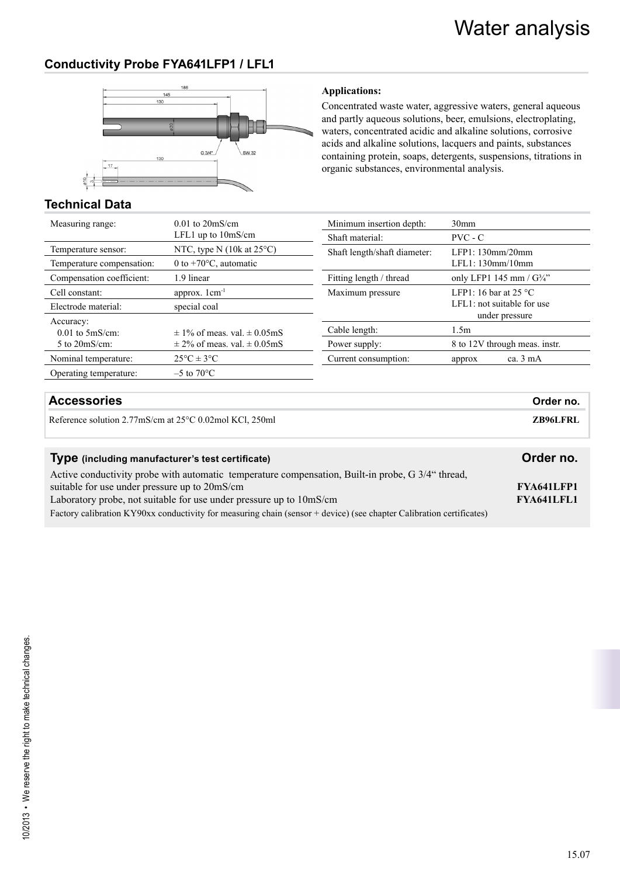# **Conductivity Probe FYA641LFP1 / LFL1**



#### **Applications:**

Concentrated waste water, aggressive waters, general aqueous and partly aqueous solutions, beer, emulsions, electroplating, waters, concentrated acidic and alkaline solutions, corrosive acids and alkaline solutions, lacquers and paints, substances containing protein, soaps, detergents, suspensions, titrations in organic substances, environmental analysis.

# **Technical Data**

| Measuring range:             | $0.01$ to $20$ mS/cm                               |
|------------------------------|----------------------------------------------------|
|                              | LFL1 up to $10mS/cm$                               |
| Temperature sensor:          | NTC, type N $(10k \text{ at } 25^{\circ}\text{C})$ |
| Temperature compensation:    | 0 to $+70^{\circ}$ C, automatic                    |
| Compensation coefficient:    | 1.9 linear                                         |
| Cell constant:               | approx. $1 \text{ cm}^{-1}$                        |
| Electrode material:          | special coal                                       |
|                              |                                                    |
| Accuracy:                    |                                                    |
| $0.01$ to $5 \text{mS/cm}$ : | $\pm$ 1% of meas, val, $\pm$ 0.05mS                |
| $5$ to $20$ mS/cm:           | $\pm$ 2% of meas. val. $\pm$ 0.05mS                |
| Nominal temperature:         | $25^{\circ}$ C $\pm$ 3°C                           |
| Operating temperature:       | $-5$ to $70^{\circ}$ C                             |

| Minimum insertion depth:     | 30 <sub>mm</sub>                                                                   |  |
|------------------------------|------------------------------------------------------------------------------------|--|
| Shaft material:              | $PVC - C$                                                                          |  |
| Shaft length/shaft diameter: | LEP1: 130mm/20mm<br>LEL1: 130mm/10mm                                               |  |
| Fitting length / thread      | only LFP1 145 mm / G3/4"                                                           |  |
| Maximum pressure             | LFP1: 16 bar at 25 $^{\circ}$ C<br>$LEL1$ : not suitable for use<br>under pressure |  |
| Cable length:                | 1.5m                                                                               |  |
| Power supply:                | 8 to 12V through meas. instr.                                                      |  |
| Current consumption:         | ca. $3 \text{ mA}$<br>approx                                                       |  |

## **Accessories Order no.**

Reference solution 2.77mS/cm at 25°C 0.02mol KCl, 250ml **ZB96LFRL ZB96LFRL** 

| Type (including manufacturer's test certificate)                                                                     | Order no.         |
|----------------------------------------------------------------------------------------------------------------------|-------------------|
| Active conductivity probe with automatic temperature compensation, Built-in probe, G 3/4" thread,                    |                   |
| suitable for use under pressure up to 20mS/cm                                                                        | <b>FYA641LFP1</b> |
| Laboratory probe, not suitable for use under pressure up to 10mS/cm                                                  | <b>FYA641LFL1</b> |
| Factory calibration KY90xx conductivity for measuring chain (sensor + device) (see chapter Calibration certificates) |                   |